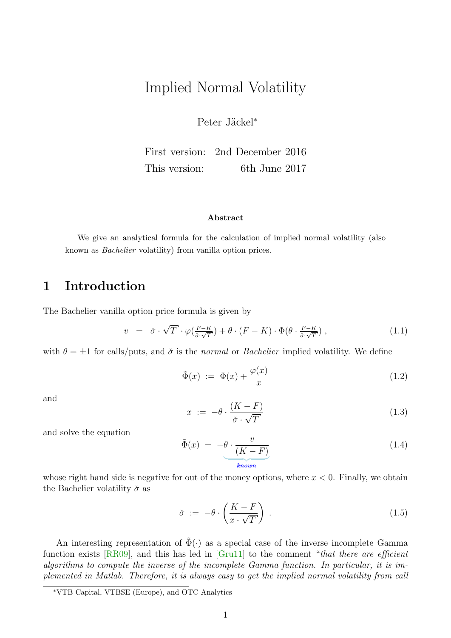# Implied Normal Volatility

Peter Jäckel<sup>\*</sup>

First version: 2nd December 2016 This version: 6th June 2017

#### Abstract

We give an analytical formula for the calculation of implied normal volatility (also known as Bachelier volatility) from vanilla option prices.

### 1 Introduction

The Bachelier vanilla option price formula is given by

$$
v = \check{\sigma} \cdot \sqrt{T} \cdot \varphi(\tfrac{F-K}{\check{\sigma} \cdot \sqrt{T}}) + \theta \cdot (F - K) \cdot \Phi(\theta \cdot \tfrac{F-K}{\check{\sigma} \cdot \sqrt{T}}) , \qquad (1.1)
$$

with  $\theta = \pm 1$  for calls/puts, and  $\check{\sigma}$  is the normal or *Bachelier* implied volatility. We define

$$
\tilde{\Phi}(x) := \Phi(x) + \frac{\varphi(x)}{x} \tag{1.2}
$$

and

$$
x := -\theta \cdot \frac{(K - F)}{\check{\sigma} \cdot \sqrt{T}} \tag{1.3}
$$

and solve the equation

$$
\tilde{\Phi}(x) = -\theta \cdot \frac{v}{(K - F)}
$$
\nknown

\n
$$
(1.4)
$$

whose right hand side is negative for out of the money options, where  $x < 0$ . Finally, we obtain the Bachelier volatility  $\check{\sigma}$  as

$$
\check{\sigma} := -\theta \cdot \left(\frac{K - F}{x \cdot \sqrt{T}}\right) \tag{1.5}
$$

An interesting representation of  $\tilde{\Phi}(\cdot)$  as a special case of the inverse incomplete Gamma function exists [\[RR09\]](#page-2-0), and this has led in [\[Gru11\]](#page-2-1) to the comment "that there are efficient algorithms to compute the inverse of the incomplete Gamma function. In particular, it is implemented in Matlab. Therefore, it is always easy to get the implied normal volatility from call

<sup>∗</sup>VTB Capital, VTBSE (Europe), and OTC Analytics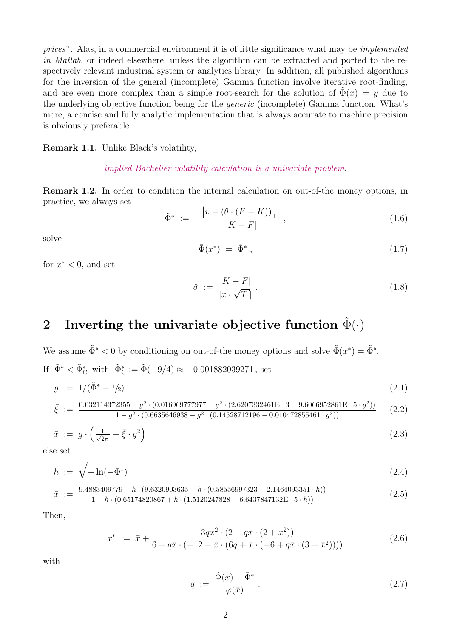prices". Alas, in a commercial environment it is of little significance what may be implemented in Matlab, or indeed elsewhere, unless the algorithm can be extracted and ported to the respectively relevant industrial system or analytics library. In addition, all published algorithms for the inversion of the general (incomplete) Gamma function involve iterative root-finding, and are even more complex than a simple root-search for the solution of  $\Phi(x) = y$  due to the underlying objective function being for the generic (incomplete) Gamma function. What's more, a concise and fully analytic implementation that is always accurate to machine precision is obviously preferable.

#### Remark 1.1. Unlike Black's volatility,

#### implied Bachelier volatility calculation is a univariate problem.

Remark 1.2. In order to condition the internal calculation on out-of-the money options, in practice, we always set

$$
\tilde{\Phi}^* := -\frac{|v - (\theta \cdot (F - K))_+|}{|K - F|}, \qquad (1.6)
$$

solve

$$
\tilde{\Phi}(x^*) = \tilde{\Phi}^*, \qquad (1.7)
$$

for  $x^* < 0$ , and set

$$
\check{\sigma} := \frac{|K - F|}{|x \cdot \sqrt{T}|} \,. \tag{1.8}
$$

# 2 Inverting the univariate objective function  $\tilde{\Phi}(\cdot)$

We assume  $\tilde{\Phi}^* < 0$  by conditioning on out-of-the money options and solve  $\tilde{\Phi}(x^*) = \tilde{\Phi}^*$ . If  $\tilde{\Phi}^* < \tilde{\Phi}^*_{\mathcal{C}}$  with  $\tilde{\Phi}^*_{\mathcal{C}} := \tilde{\Phi}(-9/4) \approx -0.001882039271$ , set

$$
g := 1/(\tilde{\Phi}^* - 1/2) \tag{2.1}
$$

$$
\bar{\xi} := \frac{0.032114372355 - g^2 \cdot (0.016969777977 - g^2 \cdot (2.6207332461E - 3 - 9.6066952861E - 5 \cdot g^2))}{1 - g^2 \cdot (0.6635646938 - g^2 \cdot (0.14528712196 - 0.010472855461 \cdot g^2))}
$$
(2.2)

$$
\bar{x} := g \cdot \left(\frac{1}{\sqrt{2\pi}} + \bar{\xi} \cdot g^2\right) \tag{2.3}
$$

else set

$$
h := \sqrt{-\ln(-\tilde{\Phi}^*)} \tag{2.4}
$$

$$
\bar{x} := \frac{9.4883409779 - h \cdot (9.6320903635 - h \cdot (0.58556997323 + 2.1464093351 \cdot h))}{1 - h \cdot (0.65174820867 + h \cdot (1.5120247828 + 6.6437847132E - 5 \cdot h))}
$$
\n(2.5)

Then,

$$
x^* := \bar{x} + \frac{3q\bar{x}^2 \cdot (2 - q\bar{x} \cdot (2 + \bar{x}^2))}{6 + q\bar{x} \cdot (-12 + \bar{x} \cdot (6q + \bar{x} \cdot (-6 + q\bar{x} \cdot (3 + \bar{x}^2))))}
$$
(2.6)

with

$$
q := \frac{\tilde{\Phi}(\bar{x}) - \tilde{\Phi}^*}{\varphi(\bar{x})} \,. \tag{2.7}
$$